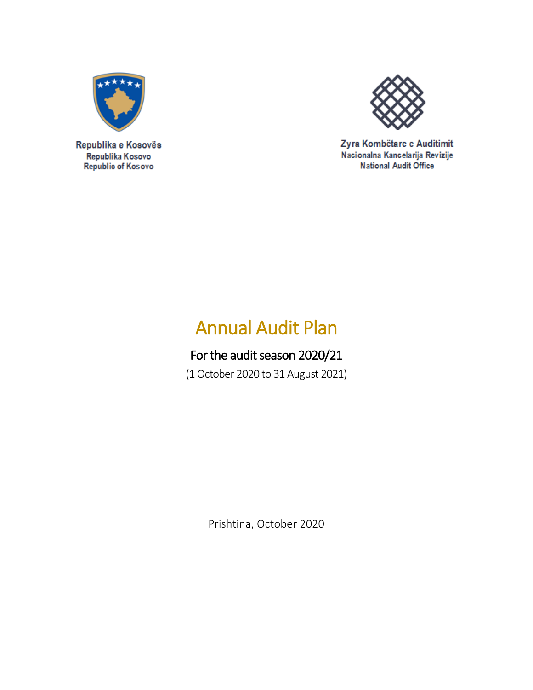

Zyra Kombëtare e Auditimit Nacionalna Kancelarija Revizije National Audit Office

# Annual Audit Plan

# For the audit season 2020/21

(1 October 2020 to 31 August 2021)

Prishtina, October 2020

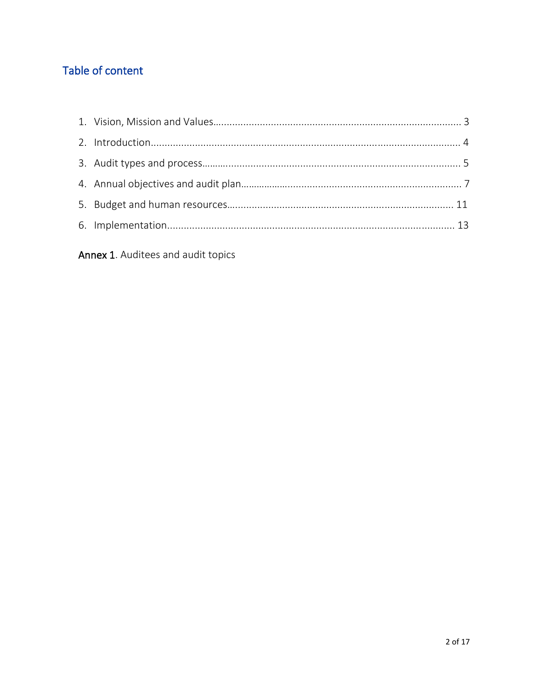# Table of content

Annex 1. Auditees and audit topics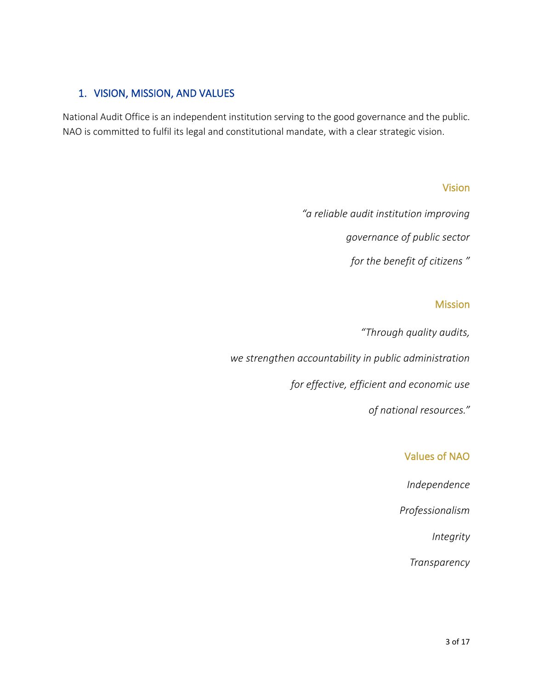### 1. VISION, MISSION, AND VALUES

National Audit Office is an independent institution serving to the good governance and the public. NAO is committed to fulfil its legal and constitutional mandate, with a clear strategic vision.

#### Vision

*"a reliable audit institution improving governance of public sector for the benefit of citizens "*

#### Mission

*"Through quality audits, we strengthen accountability in public administration for effective, efficient and economic use of national resources."*

## Values of NAO

*Independence*

*Professionalism*

*Integrity* 

*Transparency*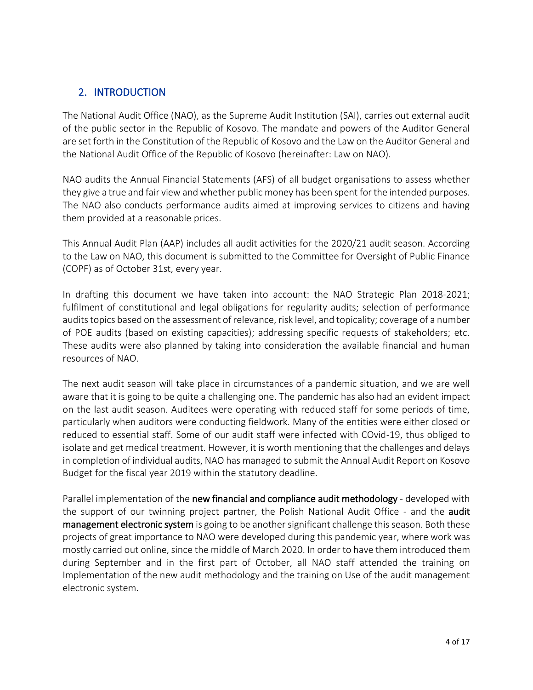### 2. INTRODUCTION

The National Audit Office (NAO), as the Supreme Audit Institution (SAI), carries out external audit of the public sector in the Republic of Kosovo. The mandate and powers of the Auditor General are set forth in the Constitution of the Republic of Kosovo and the Law on the Auditor General and the National Audit Office of the Republic of Kosovo (hereinafter: Law on NAO).

NAO audits the Annual Financial Statements (AFS) of all budget organisations to assess whether they give a true and fair view and whether public money has been spent for the intended purposes. The NAO also conducts performance audits aimed at improving services to citizens and having them provided at a reasonable prices.

This Annual Audit Plan (AAP) includes all audit activities for the 2020/21 audit season. According to the Law on NAO, this document is submitted to the Committee for Oversight of Public Finance (COPF) as of October 31st, every year.

In drafting this document we have taken into account: the NAO Strategic Plan 2018-2021; fulfilment of constitutional and legal obligations for regularity audits; selection of performance audits topics based on the assessment of relevance, risk level, and topicality; coverage of a number of POE audits (based on existing capacities); addressing specific requests of stakeholders; etc. These audits were also planned by taking into consideration the available financial and human resources of NAO.

The next audit season will take place in circumstances of a pandemic situation, and we are well aware that it is going to be quite a challenging one. The pandemic has also had an evident impact on the last audit season. Auditees were operating with reduced staff for some periods of time, particularly when auditors were conducting fieldwork. Many of the entities were either closed or reduced to essential staff. Some of our audit staff were infected with COvid-19, thus obliged to isolate and get medical treatment. However, it is worth mentioning that the challenges and delays in completion of individual audits, NAO has managed to submit the Annual Audit Report on Kosovo Budget for the fiscal year 2019 within the statutory deadline.

Parallel implementation of the new financial and compliance audit methodology - developed with the support of our twinning project partner, the Polish National Audit Office - and the **audit** management electronic system is going to be another significant challenge this season. Both these projects of great importance to NAO were developed during this pandemic year, where work was mostly carried out online, since the middle of March 2020. In order to have them introduced them during September and in the first part of October, all NAO staff attended the training on Implementation of the new audit methodology and the training on Use of the audit management electronic system.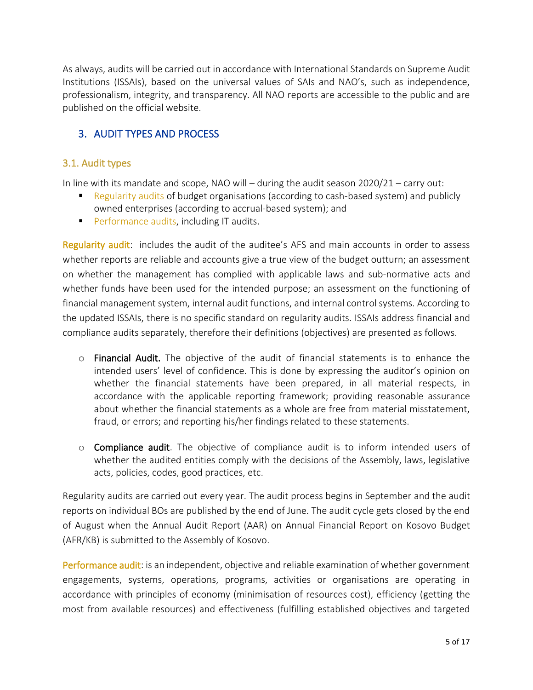As always, audits will be carried out in accordance with International Standards on Supreme Audit Institutions (ISSAIs), based on the universal values of SAIs and NAO's, such as independence, professionalism, integrity, and transparency. All NAO reports are accessible to the public and are published on the official website.

## 3. AUDIT TYPES AND PROCESS

#### 3.1. Audit types

In line with its mandate and scope, NAO will – during the audit season 2020/21 – carry out:

- Regularity audits of budget organisations (according to cash-based system) and publicly owned enterprises (according to accrual-based system); and
- **•** Performance audits, including IT audits.

Regularity audit: includes the audit of the auditee's AFS and main accounts in order to assess whether reports are reliable and accounts give a true view of the budget outturn; an assessment on whether the management has complied with applicable laws and sub-normative acts and whether funds have been used for the intended purpose; an assessment on the functioning of financial management system, internal audit functions, and internal control systems. According to the updated ISSAIs, there is no specific standard on regularity audits. ISSAIs address financial and compliance audits separately, therefore their definitions (objectives) are presented as follows.

- $\circ$  Financial Audit. The objective of the audit of financial statements is to enhance the intended users' level of confidence. This is done by expressing the auditor's opinion on whether the financial statements have been prepared, in all material respects, in accordance with the applicable reporting framework; providing reasonable assurance about whether the financial statements as a whole are free from material misstatement, fraud, or errors; and reporting his/her findings related to these statements.
- $\circ$  Compliance audit. The objective of compliance audit is to inform intended users of whether the audited entities comply with the decisions of the Assembly, laws, legislative acts, policies, codes, good practices, etc.

Regularity audits are carried out every year. The audit process begins in September and the audit reports on individual BOs are published by the end of June. The audit cycle gets closed by the end of August when the Annual Audit Report (AAR) on Annual Financial Report on Kosovo Budget (AFR/KB) is submitted to the Assembly of Kosovo.

Performance audit: is an independent, objective and reliable examination of whether government engagements, systems, operations, programs, activities or organisations are operating in accordance with principles of economy (minimisation of resources cost), efficiency (getting the most from available resources) and effectiveness (fulfilling established objectives and targeted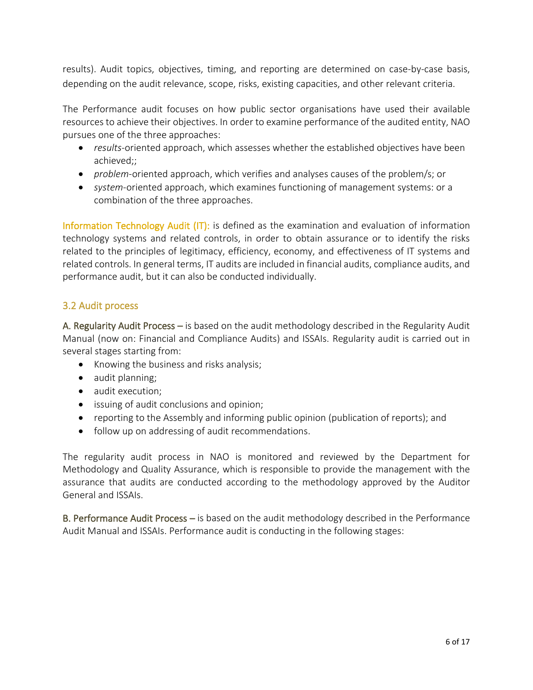results). Audit topics, objectives, timing, and reporting are determined on case-by-case basis, depending on the audit relevance, scope, risks, existing capacities, and other relevant criteria.

The Performance audit focuses on how public sector organisations have used their available resources to achieve their objectives. In order to examine performance of the audited entity, NAO pursues one of the three approaches:

- *results*-oriented approach, which assesses whether the established objectives have been achieved;;
- *problem*-oriented approach, which verifies and analyses causes of the problem/s; or
- *system*-oriented approach, which examines functioning of management systems: or a combination of the three approaches.

Information Technology Audit (IT): is defined as the examination and evaluation of information technology systems and related controls, in order to obtain assurance or to identify the risks related to the principles of legitimacy, efficiency, economy, and effectiveness of IT systems and related controls. In general terms, IT audits are included in financial audits, compliance audits, and performance audit, but it can also be conducted individually.

#### 3.2 Audit process

A. Regularity Audit Process – is based on the audit methodology described in the Regularity Audit Manual (now on: Financial and Compliance Audits) and ISSAIs. Regularity audit is carried out in several stages starting from:

- Knowing the business and risks analysis;
- audit planning;
- audit execution;
- issuing of audit conclusions and opinion;
- reporting to the Assembly and informing public opinion (publication of reports); and
- follow up on addressing of audit recommendations.

The regularity audit process in NAO is monitored and reviewed by the Department for Methodology and Quality Assurance, which is responsible to provide the management with the assurance that audits are conducted according to the methodology approved by the Auditor General and ISSAIs.

B. Performance Audit Process – is based on the audit methodology described in the Performance Audit Manual and ISSAIs. Performance audit is conducting in the following stages: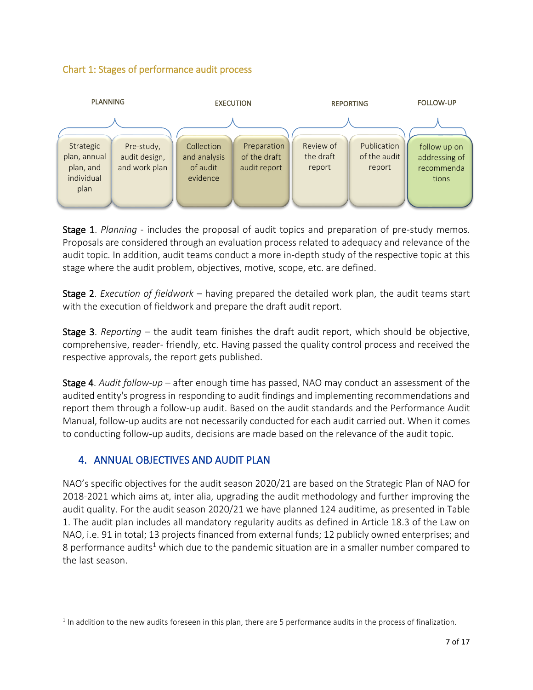#### Chart 1: Stages of performance audit process



Stage 1. *Planning -* includes the proposal of audit topics and preparation of pre-study memos. Proposals are considered through an evaluation process related to adequacy and relevance of the audit topic. In addition, audit teams conduct a more in-depth study of the respective topic at this stage where the audit problem, objectives, motive, scope, etc. are defined.

Stage 2. *Execution of fieldwork* – having prepared the detailed work plan, the audit teams start with the execution of fieldwork and prepare the draft audit report.

Stage 3. *Reporting –* the audit team finishes the draft audit report, which should be objective, comprehensive, reader- friendly, etc. Having passed the quality control process and received the respective approvals, the report gets published.

Stage 4. *Audit follow-up –* after enough time has passed, NAO may conduct an assessment of the audited entity's progress in responding to audit findings and implementing recommendations and report them through a follow-up audit. Based on the audit standards and the Performance Audit Manual, follow-up audits are not necessarily conducted for each audit carried out. When it comes to conducting follow-up audits, decisions are made based on the relevance of the audit topic.

## 4. ANNUAL OBJECTIVES AND AUDIT PLAN

NAO's specific objectives for the audit season 2020/21 are based on the Strategic Plan of NAO for 2018-2021 which aims at, inter alia, upgrading the audit methodology and further improving the audit quality. For the audit season 2020/21 we have planned 124 auditime, as presented in Table 1. The audit plan includes all mandatory regularity audits as defined in Article 18.3 of the Law on NAO, i.e. 91 in total; 13 projects financed from external funds; 12 publicly owned enterprises; and 8 performance audits<sup>1</sup> which due to the pandemic situation are in a smaller number compared to the last season.

 $<sup>1</sup>$  In addition to the new audits foreseen in this plan, there are 5 performance audits in the process of finalization.</sup>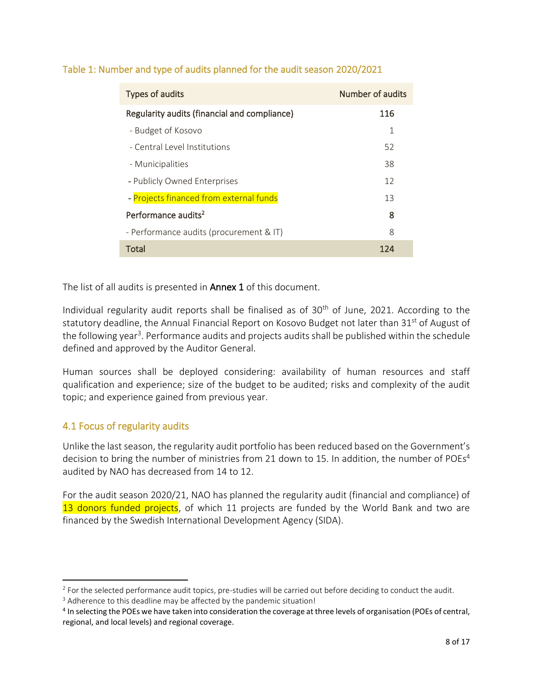| Types of audits                              | Number of audits |
|----------------------------------------------|------------------|
| Regularity audits (financial and compliance) | 116              |
| - Budget of Kosovo                           | 1                |
| - Central Level Institutions                 | 52               |
| - Municipalities                             | 38               |
| - Publicly Owned Enterprises                 | 12               |
| - Projects financed from external funds      | 13               |
| Performance audits <sup>2</sup>              | 8                |
| - Performance audits (procurement & IT)      | 8                |
| Total                                        | 124              |

#### Table 1: Number and type of audits planned for the audit season 2020/2021

The list of all audits is presented in **Annex 1** of this document.

Individual regularity audit reports shall be finalised as of  $30<sup>th</sup>$  of June, 2021. According to the statutory deadline, the Annual Financial Report on Kosovo Budget not later than 31<sup>st</sup> of August of the following year<sup>3</sup>. Performance audits and projects audits shall be published within the schedule defined and approved by the Auditor General.

Human sources shall be deployed considering: availability of human resources and staff qualification and experience; size of the budget to be audited; risks and complexity of the audit topic; and experience gained from previous year.

#### 4.1 Focus of regularity audits

Unlike the last season, the regularity audit portfolio has been reduced based on the Government's decision to bring the number of ministries from 21 down to 15. In addition, the number of POEs<sup>4</sup> audited by NAO has decreased from 14 to 12.

For the audit season 2020/21, NAO has planned the regularity audit (financial and compliance) of 13 donors funded projects, of which 11 projects are funded by the World Bank and two are financed by the Swedish International Development Agency (SIDA).

 $2$  For the selected performance audit topics, pre-studies will be carried out before deciding to conduct the audit.

<sup>&</sup>lt;sup>3</sup> Adherence to this deadline may be affected by the pandemic situation!

<sup>&</sup>lt;sup>4</sup> In selecting the POEs we have taken into consideration the coverage at three levels of organisation (POEs of central, regional, and local levels) and regional coverage.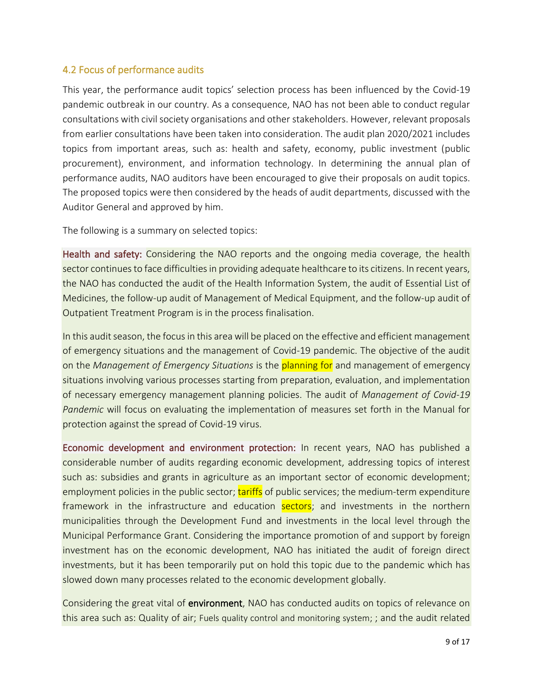#### 4.2 Focus of performance audits

This year, the performance audit topics' selection process has been influenced by the Covid-19 pandemic outbreak in our country. As a consequence, NAO has not been able to conduct regular consultations with civil society organisations and other stakeholders. However, relevant proposals from earlier consultations have been taken into consideration. The audit plan 2020/2021 includes topics from important areas, such as: health and safety, economy, public investment (public procurement), environment, and information technology. In determining the annual plan of performance audits, NAO auditors have been encouraged to give their proposals on audit topics. The proposed topics were then considered by the heads of audit departments, discussed with the Auditor General and approved by him.

The following is a summary on selected topics:

Health and safety: Considering the NAO reports and the ongoing media coverage, the health sector continues to face difficulties in providing adequate healthcare to its citizens. In recent years, the NAO has conducted the audit of the Health Information System, the audit of Essential List of Medicines, the follow-up audit of Management of Medical Equipment, and the follow-up audit of Outpatient Treatment Program is in the process finalisation.

In this audit season, the focus in this area will be placed on the effective and efficient management of emergency situations and the management of Covid-19 pandemic. The objective of the audit on the *Management of Emergency Situations* is the planning for and management of emergency situations involving various processes starting from preparation, evaluation, and implementation of necessary emergency management planning policies. The audit of *Management of Covid-19 Pandemic* will focus on evaluating the implementation of measures set forth in the Manual for protection against the spread of Covid-19 virus.

Economic development and environment protection: In recent years, NAO has published a considerable number of audits regarding economic development, addressing topics of interest such as: subsidies and grants in agriculture as an important sector of economic development; employment policies in the public sector; tariffs of public services; the medium-term expenditure framework in the infrastructure and education sectors; and investments in the northern municipalities through the Development Fund and investments in the local level through the Municipal Performance Grant. Considering the importance promotion of and support by foreign investment has on the economic development, NAO has initiated the audit of foreign direct investments, but it has been temporarily put on hold this topic due to the pandemic which has slowed down many processes related to the economic development globally.

Considering the great vital of environment, NAO has conducted audits on topics of relevance on this area such as: Quality of air; Fuels quality control and monitoring system; ; and the audit related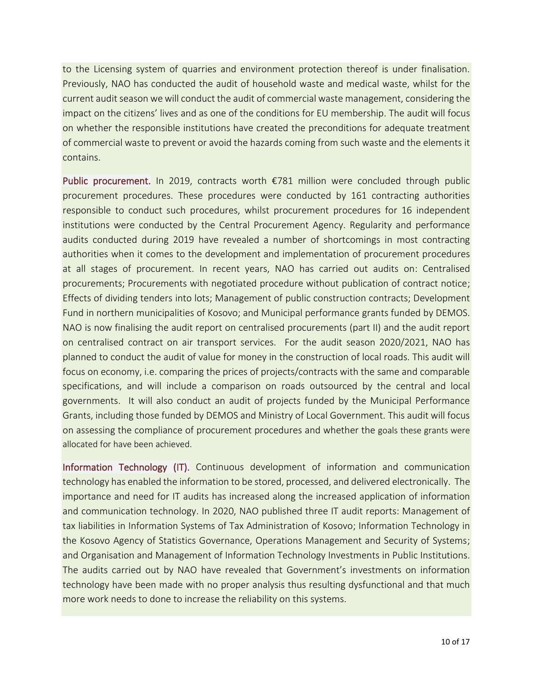to the Licensing system of quarries and environment protection thereof is under finalisation. Previously, NAO has conducted the audit of household waste and medical waste, whilst for the current audit season we will conduct the audit of commercial waste management, considering the impact on the citizens' lives and as one of the conditions for EU membership. The audit will focus on whether the responsible institutions have created the preconditions for adequate treatment of commercial waste to prevent or avoid the hazards coming from such waste and the elements it contains.

Public procurement. In 2019, contracts worth €781 million were concluded through public procurement procedures. These procedures were conducted by 161 contracting authorities responsible to conduct such procedures, whilst procurement procedures for 16 independent institutions were conducted by the Central Procurement Agency. Regularity and performance audits conducted during 2019 have revealed a number of shortcomings in most contracting authorities when it comes to the development and implementation of procurement procedures at all stages of procurement. In recent years, NAO has carried out audits on: Centralised procurements; Procurements with negotiated procedure without publication of contract notice; Effects of dividing tenders into lots; Management of public construction contracts; Development Fund in northern municipalities of Kosovo; and Municipal performance grants funded by DEMOS. NAO is now finalising the audit report on centralised procurements (part II) and the audit report on centralised contract on air transport services. For the audit season 2020/2021, NAO has planned to conduct the audit of value for money in the construction of local roads. This audit will focus on economy, i.e. comparing the prices of projects/contracts with the same and comparable specifications, and will include a comparison on roads outsourced by the central and local governments. It will also conduct an audit of projects funded by the Municipal Performance Grants, including those funded by DEMOS and Ministry of Local Government. This audit will focus on assessing the compliance of procurement procedures and whether the goals these grants were allocated for have been achieved.

Information Technology (IT). Continuous development of information and communication technology has enabled the information to be stored, processed, and delivered electronically. The importance and need for IT audits has increased along the increased application of information and communication technology. In 2020, NAO published three IT audit reports: Management of tax liabilities in Information Systems of Tax Administration of Kosovo; Information Technology in the Kosovo Agency of Statistics Governance, Operations Management and Security of Systems; and Organisation and Management of Information Technology Investments in Public Institutions. The audits carried out by NAO have revealed that Government's investments on information technology have been made with no proper analysis thus resulting dysfunctional and that much more work needs to done to increase the reliability on this systems.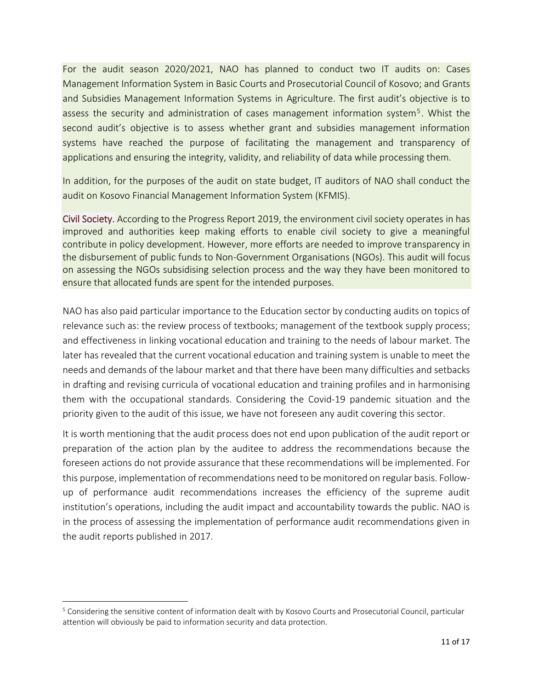For the audit season 2020/2021, NAO has planned to conduct two IT audits on: Cases Management Information System in Basic Courts and Prosecutorial Council of Kosovo; and Grants and Subsidies Management Information Systems in Agriculture. The first audit's objective is to assess the security and administration of cases management information system<sup>5</sup>. Whist the second audit's objective is to assess whether grant and subsidies management information systems have reached the purpose of facilitating the management and transparency of applications and ensuring the integrity, validity, and reliability of data while processing them.

In addition, for the purposes of the audit on state budget, IT auditors of NAO shall conduct the audit on Kosovo Financial Management Information System (KFMIS).

Civil Society. According to the Progress Report 2019, the environment civil society operates in has improved and authorities keep making efforts to enable civil society to give a meaningful contribute in policy development. However, more efforts are needed to improve transparency in the disbursement of public funds to Non-Government Organisations (NGOs). This audit will focus on assessing the NGOs subsidising selection process and the way they have been monitored to ensure that allocated funds are spent for the intended purposes.

NAO has also paid particular importance to the Education sector by conducting audits on topics of relevance such as: the review process of textbooks; management of the textbook supply process; and effectiveness in linking vocational education and training to the needs of labour market. The later has revealed that the current vocational education and training system is unable to meet the needs and demands of the labour market and that there have been many difficulties and setbacks in drafting and revising curricula of vocational education and training profiles and in harmonising them with the occupational standards. Considering the Covid-19 pandemic situation and the priority given to the audit of this issue, we have not foreseen any audit covering this sector.

It is worth mentioning that the audit process does not end upon publication of the audit report or preparation of the action plan by the auditee to address the recommendations because the foreseen actions do not provide assurance that these recommendations will be implemented. For this purpose, implementation of recommendations need to be monitored on regular basis. Followup of performance audit recommendations increases the efficiency of the supreme audit institution's operations, including the audit impact and accountability towards the public. NAO is in the process of assessing the implementation of performance audit recommendations given in the audit reports published in 2017.

<sup>5</sup> Considering the sensitive content of information dealt with by Kosovo Courts and Prosecutorial Council, particular attention will obviously be paid to information security and data protection.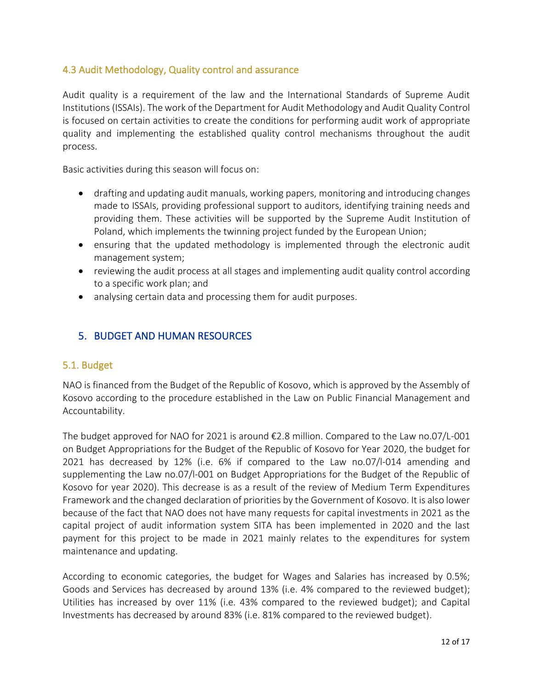#### 4.3 Audit Methodology, Quality control and assurance

Audit quality is a requirement of the law and the International Standards of Supreme Audit Institutions (ISSAIs). The work of the Department for Audit Methodology and Audit Quality Control is focused on certain activities to create the conditions for performing audit work of appropriate quality and implementing the established quality control mechanisms throughout the audit process.

Basic activities during this season will focus on:

- drafting and updating audit manuals, working papers, monitoring and introducing changes made to ISSAIs, providing professional support to auditors, identifying training needs and providing them. These activities will be supported by the Supreme Audit Institution of Poland, which implements the twinning project funded by the European Union;
- ensuring that the updated methodology is implemented through the electronic audit management system;
- reviewing the audit process at all stages and implementing audit quality control according to a specific work plan; and
- analysing certain data and processing them for audit purposes.

#### 5. BUDGET AND HUMAN RESOURCES

#### 5.1. Budget

NAO is financed from the Budget of the Republic of Kosovo, which is approved by the Assembly of Kosovo according to the procedure established in the Law on Public Financial Management and Accountability.

The budget approved for NAO for 2021 is around €2.8 million. Compared to the Law no.07/L-001 on Budget Appropriations for the Budget of the Republic of Kosovo for Year 2020, the budget for 2021 has decreased by 12% (i.e. 6% if compared to the Law no.07/l-014 amending and supplementing the Law no.07/l-001 on Budget Appropriations for the Budget of the Republic of Kosovo for year 2020). This decrease is as a result of the review of Medium Term Expenditures Framework and the changed declaration of priorities by the Government of Kosovo. It is also lower because of the fact that NAO does not have many requests for capital investments in 2021 as the capital project of audit information system SITA has been implemented in 2020 and the last payment for this project to be made in 2021 mainly relates to the expenditures for system maintenance and updating.

According to economic categories, the budget for Wages and Salaries has increased by 0.5%; Goods and Services has decreased by around 13% (i.e. 4% compared to the reviewed budget); Utilities has increased by over 11% (i.e. 43% compared to the reviewed budget); and Capital Investments has decreased by around 83% (i.e. 81% compared to the reviewed budget).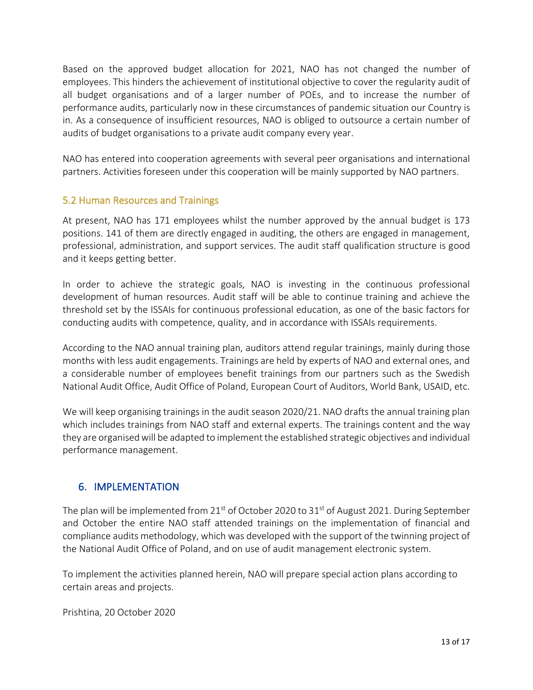Based on the approved budget allocation for 2021, NAO has not changed the number of employees. This hinders the achievement of institutional objective to cover the regularity audit of all budget organisations and of a larger number of POEs, and to increase the number of performance audits, particularly now in these circumstances of pandemic situation our Country is in. As a consequence of insufficient resources, NAO is obliged to outsource a certain number of audits of budget organisations to a private audit company every year.

NAO has entered into cooperation agreements with several peer organisations and international partners. Activities foreseen under this cooperation will be mainly supported by NAO partners.

#### 5.2 Human Resources and Trainings

At present, NAO has 171 employees whilst the number approved by the annual budget is 173 positions. 141 of them are directly engaged in auditing, the others are engaged in management, professional, administration, and support services. The audit staff qualification structure is good and it keeps getting better.

In order to achieve the strategic goals, NAO is investing in the continuous professional development of human resources. Audit staff will be able to continue training and achieve the threshold set by the ISSAIs for continuous professional education, as one of the basic factors for conducting audits with competence, quality, and in accordance with ISSAIs requirements.

According to the NAO annual training plan, auditors attend regular trainings, mainly during those months with less audit engagements. Trainings are held by experts of NAO and external ones, and a considerable number of employees benefit trainings from our partners such as the Swedish National Audit Office, Audit Office of Poland, European Court of Auditors, World Bank, USAID, etc.

We will keep organising trainings in the audit season 2020/21. NAO drafts the annual training plan which includes trainings from NAO staff and external experts. The trainings content and the way they are organised will be adapted to implement the established strategic objectives and individual performance management.

#### 6. IMPLEMENTATION

The plan will be implemented from  $21^{st}$  of October 2020 to  $31^{st}$  of August 2021. During September and October the entire NAO staff attended trainings on the implementation of financial and compliance audits methodology, which was developed with the support of the twinning project of the National Audit Office of Poland, and on use of audit management electronic system.

To implement the activities planned herein, NAO will prepare special action plans according to certain areas and projects.

Prishtina, 20 October 2020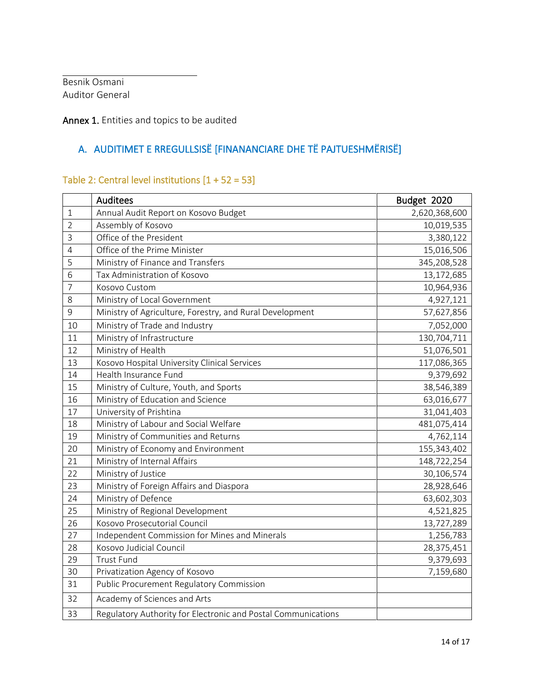Besnik Osmani Auditor General

#### Annex 1. Entities and topics to be audited

# A. AUDITIMET E RREGULLSISË [FINANANCIARE DHE TË PAJTUESHMËRISË]

## Table 2: Central level institutions [1 + 52 = 53]

|                | Auditees                                                      | Budget 2020   |
|----------------|---------------------------------------------------------------|---------------|
| 1              | Annual Audit Report on Kosovo Budget                          | 2,620,368,600 |
| $\overline{2}$ | Assembly of Kosovo                                            | 10,019,535    |
| $\overline{3}$ | Office of the President                                       | 3,380,122     |
| 4              | Office of the Prime Minister                                  | 15,016,506    |
| 5              | Ministry of Finance and Transfers                             | 345,208,528   |
| 6              | Tax Administration of Kosovo                                  | 13,172,685    |
| $\overline{7}$ | Kosovo Custom                                                 | 10,964,936    |
| 8              | Ministry of Local Government                                  | 4,927,121     |
| $\mathsf 9$    | Ministry of Agriculture, Forestry, and Rural Development      | 57,627,856    |
| 10             | Ministry of Trade and Industry                                | 7,052,000     |
| 11             | Ministry of Infrastructure                                    | 130,704,711   |
| 12             | Ministry of Health                                            | 51,076,501    |
| 13             | Kosovo Hospital University Clinical Services                  | 117,086,365   |
| 14             | Health Insurance Fund                                         | 9,379,692     |
| 15             | Ministry of Culture, Youth, and Sports                        | 38,546,389    |
| 16             | Ministry of Education and Science                             | 63,016,677    |
| 17             | University of Prishtina                                       | 31,041,403    |
| 18             | Ministry of Labour and Social Welfare                         | 481,075,414   |
| 19             | Ministry of Communities and Returns                           | 4,762,114     |
| 20             | Ministry of Economy and Environment                           | 155,343,402   |
| 21             | Ministry of Internal Affairs                                  | 148,722,254   |
| 22             | Ministry of Justice                                           | 30,106,574    |
| 23             | Ministry of Foreign Affairs and Diaspora                      | 28,928,646    |
| 24             | Ministry of Defence                                           | 63,602,303    |
| 25             | Ministry of Regional Development                              | 4,521,825     |
| 26             | Kosovo Prosecutorial Council                                  | 13,727,289    |
| 27             | Independent Commission for Mines and Minerals                 | 1,256,783     |
| 28             | Kosovo Judicial Council                                       | 28,375,451    |
| 29             | <b>Trust Fund</b>                                             | 9,379,693     |
| 30             | Privatization Agency of Kosovo                                | 7,159,680     |
| 31             | <b>Public Procurement Regulatory Commission</b>               |               |
| 32             | Academy of Sciences and Arts                                  |               |
| 33             | Regulatory Authority for Electronic and Postal Communications |               |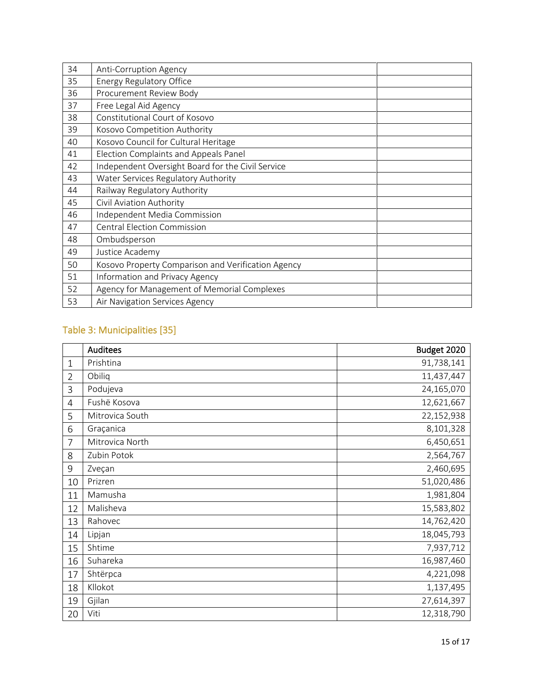| 34 | Anti-Corruption Agency                             |
|----|----------------------------------------------------|
| 35 | Energy Regulatory Office                           |
| 36 | Procurement Review Body                            |
| 37 | Free Legal Aid Agency                              |
| 38 | Constitutional Court of Kosovo                     |
| 39 | Kosovo Competition Authority                       |
| 40 | Kosovo Council for Cultural Heritage               |
| 41 | Election Complaints and Appeals Panel              |
| 42 | Independent Oversight Board for the Civil Service  |
| 43 | Water Services Regulatory Authority                |
| 44 | Railway Regulatory Authority                       |
| 45 | Civil Aviation Authority                           |
| 46 | Independent Media Commission                       |
| 47 | <b>Central Election Commission</b>                 |
| 48 | Ombudsperson                                       |
| 49 | Justice Academy                                    |
| 50 | Kosovo Property Comparison and Verification Agency |
| 51 | Information and Privacy Agency                     |
| 52 | Agency for Management of Memorial Complexes        |
| 53 | Air Navigation Services Agency                     |

## Table 3: Municipalities [35]

|                | <b>Auditees</b> | Budget 2020 |
|----------------|-----------------|-------------|
| $\mathbf{1}$   | Prishtina       | 91,738,141  |
| $\overline{2}$ | Obiliq          | 11,437,447  |
| 3              | Podujeva        | 24,165,070  |
| $\overline{4}$ | Fushë Kosova    | 12,621,667  |
| 5              | Mitrovica South | 22,152,938  |
| 6              | Graçanica       | 8,101,328   |
| $\overline{7}$ | Mitrovica North | 6,450,651   |
| 8              | Zubin Potok     | 2,564,767   |
| 9              | Zveçan          | 2,460,695   |
| 10             | Prizren         | 51,020,486  |
| 11             | Mamusha         | 1,981,804   |
| 12             | Malisheva       | 15,583,802  |
| 13             | Rahovec         | 14,762,420  |
| 14             | Lipjan          | 18,045,793  |
| 15             | Shtime          | 7,937,712   |
| 16             | Suhareka        | 16,987,460  |
| 17             | Shtërpca        | 4,221,098   |
| 18             | Kllokot         | 1,137,495   |
| 19             | Gjilan          | 27,614,397  |
| 20             | Viti            | 12,318,790  |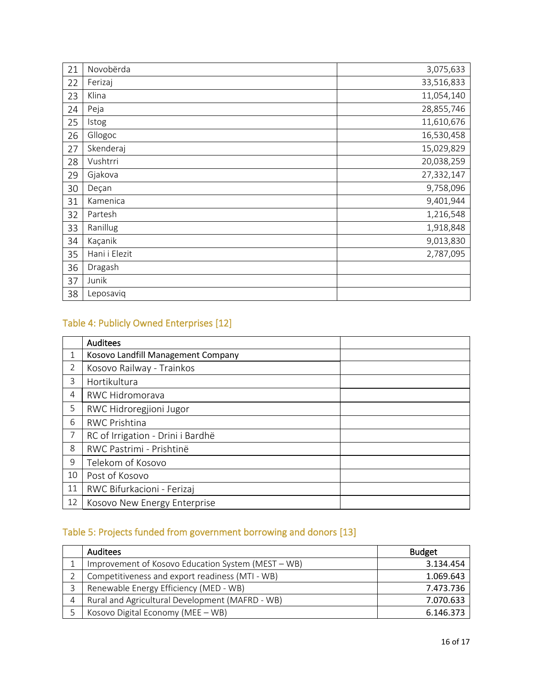| 21 | Novobërda     | 3,075,633  |
|----|---------------|------------|
| 22 | Ferizaj       | 33,516,833 |
| 23 | Klina         | 11,054,140 |
| 24 | Peja          | 28,855,746 |
| 25 | Istog         | 11,610,676 |
| 26 | Gllogoc       | 16,530,458 |
| 27 | Skenderaj     | 15,029,829 |
| 28 | Vushtrri      | 20,038,259 |
| 29 | Gjakova       | 27,332,147 |
| 30 | Deçan         | 9,758,096  |
| 31 | Kamenica      | 9,401,944  |
| 32 | Partesh       | 1,216,548  |
| 33 | Ranillug      | 1,918,848  |
| 34 | Kaçanik       | 9,013,830  |
| 35 | Hani i Elezit | 2,787,095  |
| 36 | Dragash       |            |
| 37 | Junik         |            |
| 38 | Leposaviq     |            |

# Table 4: Publicly Owned Enterprises [12]

|                | <b>Auditees</b>                    |
|----------------|------------------------------------|
| 1              | Kosovo Landfill Management Company |
| $\overline{2}$ | Kosovo Railway - Trainkos          |
| 3              | Hortikultura                       |
| $\overline{4}$ | RWC Hidromorava                    |
| 5              | RWC Hidroregjioni Jugor            |
| 6              | <b>RWC Prishtina</b>               |
| 7              | RC of Irrigation - Drini i Bardhë  |
| 8              | RWC Pastrimi - Prishtinë           |
| 9              | Telekom of Kosovo                  |
| 10             | Post of Kosovo                     |
| 11             | RWC Bifurkacioni - Ferizaj         |
| 12             | Kosovo New Energy Enterprise       |

# Table 5: Projects funded from government borrowing and donors [13]

| <b>Auditees</b>                                    | <b>Budget</b> |
|----------------------------------------------------|---------------|
| Improvement of Kosovo Education System (MEST - WB) | 3.134.454     |
| Competitiveness and export readiness (MTI - WB)    | 1.069.643     |
| Renewable Energy Efficiency (MED - WB)             | 7.473.736     |
| Rural and Agricultural Development (MAFRD - WB)    | 7.070.633     |
| Kosovo Digital Economy (MEE - WB)                  | 6.146.373     |